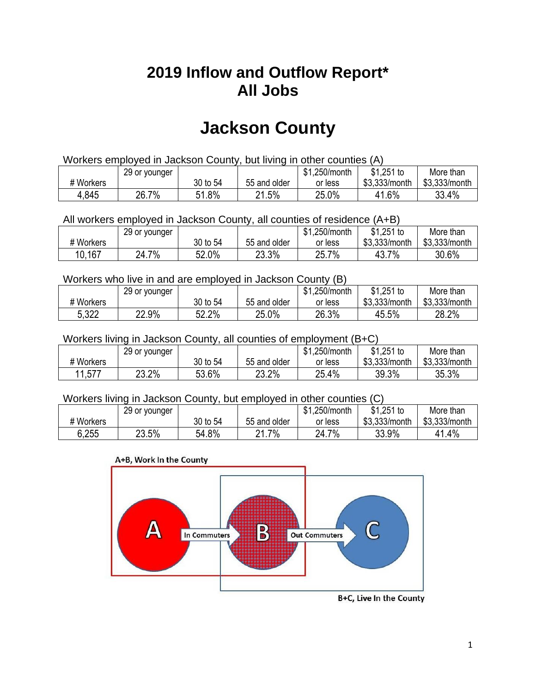## **2019 Inflow and Outflow Report\* All Jobs**

# **Jackson County**

| Workers employed in Jackson County, but living in other counties (A) |                                                           |          |              |         |               |               |  |  |  |
|----------------------------------------------------------------------|-----------------------------------------------------------|----------|--------------|---------|---------------|---------------|--|--|--|
|                                                                      | \$1.251 to<br>\$1.250/month<br>More than<br>29 or younger |          |              |         |               |               |  |  |  |
| # Workers                                                            |                                                           | 30 to 54 | 55 and older | or less | \$3.333/month | \$3.333/month |  |  |  |
| 4,845                                                                | 26.7%                                                     | 51.8%    | 21.5%        | 25.0%   | 41.6%         | 33.4%         |  |  |  |

All workers employed in Jackson County, all counties of residence (A+B)

|           | 29 or younger |          |              | \$1,250/month | $$1,251$ to   | More than     |
|-----------|---------------|----------|--------------|---------------|---------------|---------------|
| # Workers |               | 30 to 54 | 55 and older | or less       | \$3,333/month | \$3,333/month |
| 10,167    | 7%<br>24.7    | 52.0%    | 23.3%        | 25.7%         | 7%<br>43.7    | 30.6%         |

#### Workers who live in and are employed in Jackson County (B)

|           | 29 or younger |          |              | \$1,250/month | $$1,251$ to   | More than     |
|-----------|---------------|----------|--------------|---------------|---------------|---------------|
| # Workers |               | 30 to 54 | 55 and older | or less       | \$3,333/month | \$3,333/month |
| 5,322     | 22.9%         | 52.2%    | 25.0%        | 26.3%         | 45.5%         | 28.2%         |

#### Workers living in Jackson County, all counties of employment (B+C)

|           | 29 or younger |          |              | \$1,250/month | $$1,251$ to   | More than     |
|-----------|---------------|----------|--------------|---------------|---------------|---------------|
| # Workers |               | 30 to 54 | 55 and older | or less       | \$3,333/month | \$3,333/month |
| 11,577    | 23.2%         | 53.6%    | 23.2%        | 25.4%         | 39.3%         | 35.3%         |

#### Workers living in Jackson County, but employed in other counties (C)

|           | 29 or younger |          |              | .250/month<br>\$1 | $$1,251$ to   | More than     |
|-----------|---------------|----------|--------------|-------------------|---------------|---------------|
| # Workers |               | 30 to 54 | 55 and older | or less           | \$3,333/month | \$3,333/month |
| 6,255     | 23.5%         | 54.8%    | 7%<br>າ 1    | 7%<br>24.7        | 33.9%         | 41.4%         |

#### A+B, Work In the County